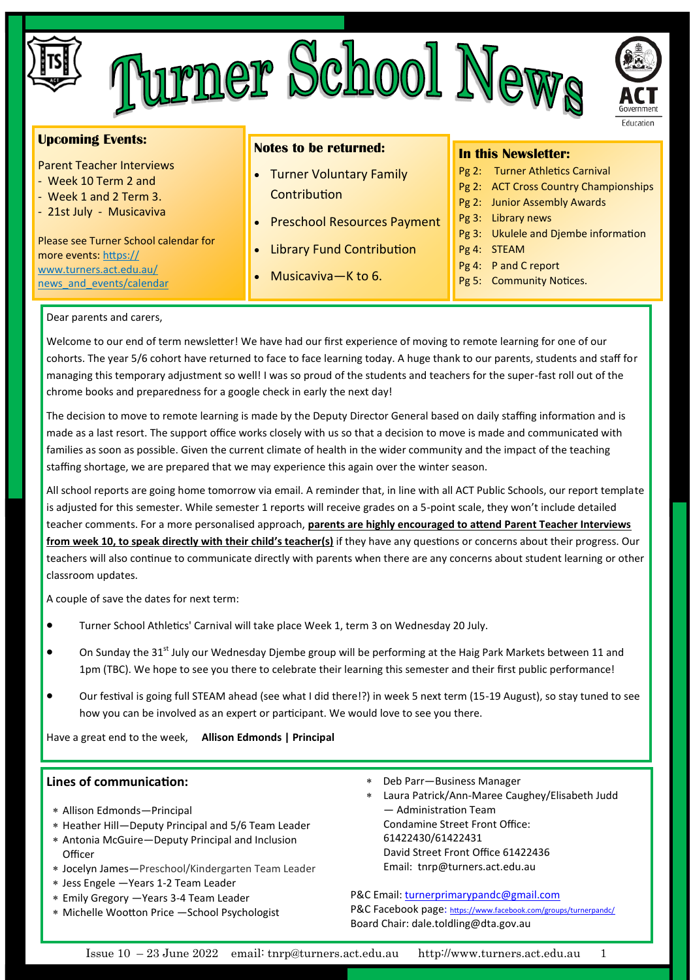|                                                                                            | <b>PCDOOT</b><br>Ler                                                   | Government<br>Education                                                                                                                                                                    |  |  |
|--------------------------------------------------------------------------------------------|------------------------------------------------------------------------|--------------------------------------------------------------------------------------------------------------------------------------------------------------------------------------------|--|--|
| <b>Upcoming Events:</b>                                                                    | <b>Notes to be returned:</b>                                           | <b>In this Newsletter:</b>                                                                                                                                                                 |  |  |
| <b>Parent Teacher Interviews</b><br>- Week 10 Term 2 and<br>- Week 1 and 2 Term 3.         | • Turner Voluntary Family<br>Contribution                              | Pg 2: Turner Athletics Carnival<br>Pg 2: ACT Cross Country Championships<br>Pg 2: Junior Assembly Awards<br>Library news<br>$Pg3$ :<br>Pg 3: Ukulele and Djembe information<br>Pg 4: STEAM |  |  |
| - 21st July - Musicaviva<br>Please see Turner School calendar for<br>more events: https:// | <b>Preschool Resources Payment</b><br><b>Library Fund Contribution</b> |                                                                                                                                                                                            |  |  |

#### Dear parents and carers,

[www.turners.act.edu.au/](https://www.turners.act.edu.au/news_and_events/calendar) news and events/calendar

Welcome to our end of term newsletter! We have had our first experience of moving to remote learning for one of our cohorts. The year 5/6 cohort have returned to face to face learning today. A huge thank to our parents, students and staff for managing this temporary adjustment so well! I was so proud of the students and teachers for the super-fast roll out of the chrome books and preparedness for a google check in early the next day!

• Musicaviva—K to 6.

The decision to move to remote learning is made by the Deputy Director General based on daily staffing information and is made as a last resort. The support office works closely with us so that a decision to move is made and communicated with families as soon as possible. Given the current climate of health in the wider community and the impact of the teaching staffing shortage, we are prepared that we may experience this again over the winter season.

All school reports are going home tomorrow via email. A reminder that, in line with all ACT Public Schools, our report template is adjusted for this semester. While semester 1 reports will receive grades on a 5-point scale, they won't include detailed teacher comments. For a more personalised approach, **parents are highly encouraged to attend Parent Teacher Interviews from week 10, to speak directly with their child's teacher(s)** if they have any questions or concerns about their progress. Our teachers will also continue to communicate directly with parents when there are any concerns about student learning or other classroom updates.

A couple of save the dates for next term:

- Turner School Athletics' Carnival will take place Week 1, term 3 on Wednesday 20 July.
- On Sunday the 31<sup>st</sup> July our Wednesday Djembe group will be performing at the Haig Park Markets between 11 and 1pm (TBC). We hope to see you there to celebrate their learning this semester and their first public performance!
- Our festival is going full STEAM ahead (see what I did there!?) in week 5 next term (15-19 August), so stay tuned to see how you can be involved as an expert or participant. We would love to see you there.

Have a great end to the week, **Allison Edmonds | Principal**

#### **Lines of communication:**

- Allison Edmonds—Principal
- Heather Hill—Deputy Principal and 5/6 Team Leader
- Antonia McGuire—Deputy Principal and Inclusion **Officer**
- Jocelyn James—Preschool/Kindergarten Team Leader
- Jess Engele —Years 1-2 Team Leader
- Emily Gregory —Years 3-4 Team Leader
- Michelle Wootton Price —School Psychologist
- Deb Parr—Business Manager
- Laura Patrick/Ann-Maree Caughey/Elisabeth Judd — Administration Team Condamine Street Front Office: 61422430/61422431 David Street Front Office 61422436 Email: tnrp@turners.act.edu.au

Pg 4: P and C report Pg 5: Community Notices.

P&C Email: [turnerprimarypandc@gmail.com](mailto:turnerprimarypandc@gmail.com) P&C Facebook page: <https://www.facebook.com/groups/turnerpandc/> Board Chair: dale.toldling@dta.gov.au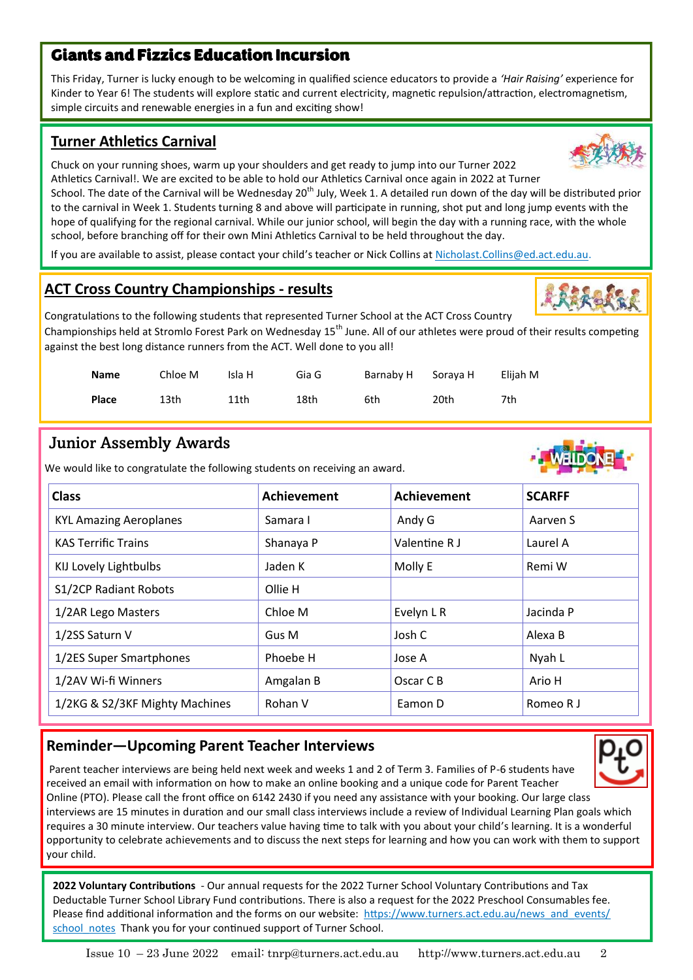## Giants and Fizzics Education Incursion

This Friday, Turner is lucky enough to be welcoming in qualified science educators to provide a *'Hair Raising'* experience for Kinder to Year 6! The students will explore static and current electricity, magnetic repulsion/attraction, electromagnetism, simple circuits and renewable energies in a fun and exciting show!

## **Turner Athletics Carnival**

Chuck on your running shoes, warm up your shoulders and get ready to jump into our Turner 2022 Athletics Carnival!. We are excited to be able to hold our Athletics Carnival once again in 2022 at Turner

School. The date of the Carnival will be Wednesday 20<sup>th</sup> July, Week 1. A detailed run down of the day will be distributed prior to the carnival in Week 1. Students turning 8 and above will participate in running, shot put and long jump events with the hope of qualifying for the regional carnival. While our junior school, will begin the day with a running race, with the whole school, before branching off for their own Mini Athletics Carnival to be held throughout the day.

If you are available to assist, please contact your child's teacher or Nick Collins at [Nicholast.Collins@ed.act.edu.au.](mailto:Nicholast.Collins@ed.act.edu.au)

## **ACT Cross Country Championships - results**

Congratulations to the following students that represented Turner School at the ACT Cross Country Championships held at Stromlo Forest Park on Wednesday 15<sup>th</sup> June. All of our athletes were proud of their results competing against the best long distance runners from the ACT. Well done to you all!

| <b>Name</b> | Chloe M | Isla H | Gia G | Barnaby H Soraya H |      | Elijah M |
|-------------|---------|--------|-------|--------------------|------|----------|
| Place       | 13th    | 11th   | 18th  | 6th                | 20th | 7th      |

## Junior Assembly Awards

We would like to congratulate the following students on receiving an award.

| <b>Class</b>                   | <b>Achievement</b> | <b>Achievement</b> | <b>SCARFF</b> |
|--------------------------------|--------------------|--------------------|---------------|
| <b>KYL Amazing Aeroplanes</b>  | Samara I           | Andy G             | Aarven S      |
| <b>KAS Terrific Trains</b>     | Shanaya P          | Valentine R J      | Laurel A      |
| KIJ Lovely Lightbulbs          | Jaden K            | Molly E            | Remi W        |
| S1/2CP Radiant Robots          | Ollie H            |                    |               |
| 1/2AR Lego Masters             | Chloe M            | Evelyn L R         | Jacinda P     |
| 1/2SS Saturn V                 | Gus M              | Josh C             | Alexa B       |
| 1/2ES Super Smartphones        | Phoebe H           | Jose A             | Nyah L        |
| 1/2AV Wi-fi Winners            | Amgalan B          | Oscar C B          | Ario H        |
| 1/2KG & S2/3KF Mighty Machines | Rohan V            | Eamon D            | Romeo R J     |

## **Reminder—Upcoming Parent Teacher Interviews**

Parent teacher interviews are being held next week and weeks 1 and 2 of Term 3. Families of P-6 students have received an email with information on how to make an online booking and a unique code for Parent Teacher Online (PTO). Please call the front office on 6142 2430 if you need any assistance with your booking. Our large class interviews are 15 minutes in duration and our small class interviews include a review of Individual Learning Plan goals which requires a 30 minute interview. Our teachers value having time to talk with you about your child's learning. It is a wonderful opportunity to celebrate achievements and to discuss the next steps for learning and how you can work with them to support your child.

**2022 Voluntary Contributions** - Our annual requests for the 2022 Turner School Voluntary Contributions and Tax Deductable Turner School Library Fund contributions. There is also a request for the 2022 Preschool Consumables fee. Please find additional information and the forms on our website: [https://www.turners.act.edu.au/news\\_and\\_events/](https://www.turners.act.edu.au/news_and_events/school_notes) [school\\_notes](https://www.turners.act.edu.au/news_and_events/school_notes) Thank you for your continued support of Turner School.







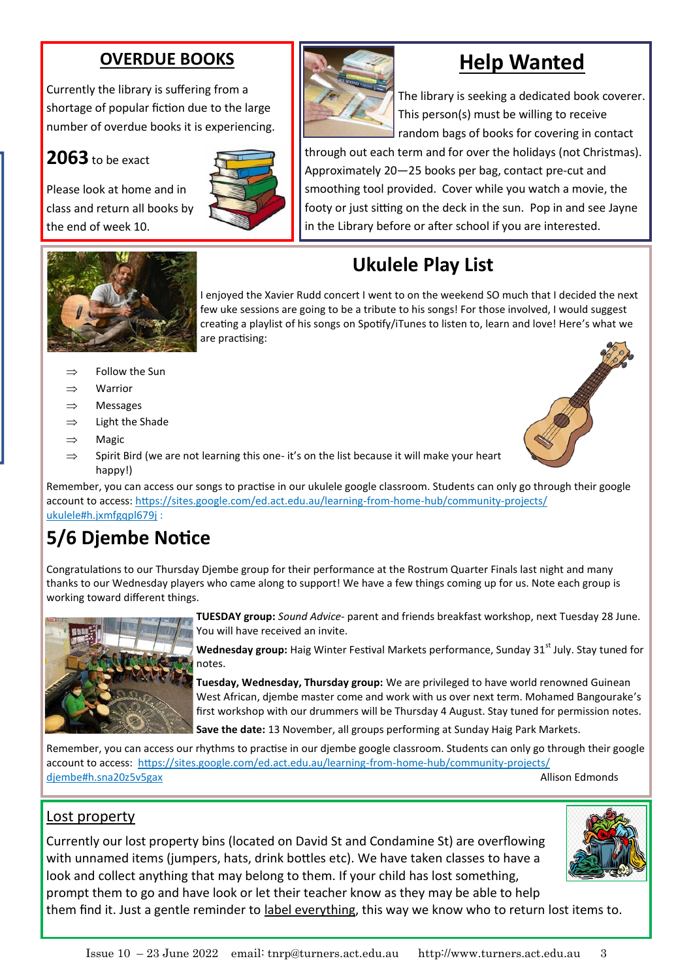## **OVERDUE BOOKS**

Currently the library is suffering from a shortage of popular fiction due to the large number of overdue books it is experiencing.

## **2063** to be exact

Please look at home and in class and return all books by the end of week 10.





# **Help Wanted**

The library is seeking a dedicated book coverer. This person(s) must be willing to receive random bags of books for covering in contact

through out each term and for over the holidays (not Christmas). Approximately 20—25 books per bag, contact pre-cut and smoothing tool provided. Cover while you watch a movie, the footy or just sitting on the deck in the sun. Pop in and see Jayne in the Library before or after school if you are interested.

# **Ukulele Play List**

I enjoyed the Xavier Rudd concert I went to on the weekend SO much that I decided the next few uke sessions are going to be a tribute to his songs! For those involved, I would suggest creating a playlist of his songs on Spotify/iTunes to listen to, learn and love! Here's what we are practising:

- $\Rightarrow$  Follow the Sun
- $\Rightarrow$  Warrior
- $\Rightarrow$  Messages
- $\Rightarrow$  Light the Shade
- $\Rightarrow$  Magic
- $\Rightarrow$  Spirit Bird (we are not learning this one-it's on the list because it will make your heart happy!)

Remember, you can access our songs to practise in our ukulele google classroom. Students can only go through their google account to access: [https://sites.google.com/ed.act.edu.au/learning](https://sites.google.com/ed.act.edu.au/learning-from-home-hub/community-projects/ukulele#h.jxmfgqpl679j)-from-home-hub/community-projects/ [ukulele#h.jxmfgqpl679j](https://sites.google.com/ed.act.edu.au/learning-from-home-hub/community-projects/ukulele#h.jxmfgqpl679j) :

# **5/6 Djembe Notice**

Congratulations to our Thursday Djembe group for their performance at the Rostrum Quarter Finals last night and many thanks to our Wednesday players who came along to support! We have a few things coming up for us. Note each group is working toward different things.



**TUESDAY group:** *Sound Advice-* parent and friends breakfast workshop, next Tuesday 28 June. You will have received an invite.

Wednesday group: Haig Winter Festival Markets performance, Sunday 31<sup>st</sup> July. Stay tuned for notes.

**Tuesday, Wednesday, Thursday group:** We are privileged to have world renowned Guinean West African, djembe master come and work with us over next term. Mohamed Bangourake's first workshop with our drummers will be Thursday 4 August. Stay tuned for permission notes.

**Save the date:** 13 November, all groups performing at Sunday Haig Park Markets.

Remember, you can access our rhythms to practise in our djembe google classroom. Students can only go through their google account to access: [https://sites.google.com/ed.act.edu.au/learning](https://sites.google.com/ed.act.edu.au/learning-from-home-hub/community-projects/djembe#h.sna20z5v5gax)-from-home-hub/community-projects/ [djembe#h.sna20z5v5gax](https://sites.google.com/ed.act.edu.au/learning-from-home-hub/community-projects/djembe#h.sna20z5v5gax) Allison Edmonds

## Lost property

Currently our lost property bins (located on David St and Condamine St) are overflowing with unnamed items (jumpers, hats, drink bottles etc). We have taken classes to have a look and collect anything that may belong to them. If your child has lost something, prompt them to go and have look or let their teacher know as they may be able to help



them find it. Just a gentle reminder to label everything, this way we know who to return lost items to.